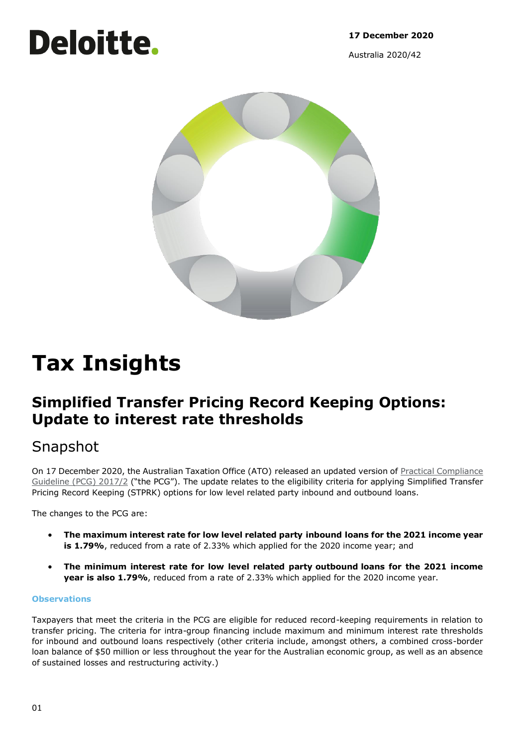**17 December 2020**

Australia 2020/42



# **Tax Insights**

Deloitte.

# **Simplified Transfer Pricing Record Keeping Options: Update to interest rate thresholds**

# Snapshot

On 17 December 2020, the Australian Taxation Office (ATO) released an updated version of [Practical Compliance](https://www.ato.gov.au/law/view/document?docid=COG/PCG20172/NAT/ATO/00001&PiT=20190911000001)  [Guideline \(PCG\) 2017/2](https://www.ato.gov.au/law/view/document?docid=COG/PCG20172/NAT/ATO/00001&PiT=20190911000001) ("the PCG"). The update relates to the eligibility criteria for applying Simplified Transfer Pricing Record Keeping (STPRK) options for low level related party inbound and outbound loans.

The changes to the PCG are:

- **The maximum interest rate for low level related party inbound loans for the 2021 income year is 1.79%**, reduced from a rate of 2.33% which applied for the 2020 income year; and
- **The minimum interest rate for low level related party outbound loans for the 2021 income year is also 1.79%**, reduced from a rate of 2.33% which applied for the 2020 income year.

# **Observations**

Taxpayers that meet the criteria in the PCG are eligible for reduced record-keeping requirements in relation to transfer pricing. The criteria for intra-group financing include maximum and minimum interest rate thresholds for inbound and outbound loans respectively (other criteria include, amongst others, a combined cross-border loan balance of \$50 million or less throughout the year for the Australian economic group, as well as an absence of sustained losses and restructuring activity.)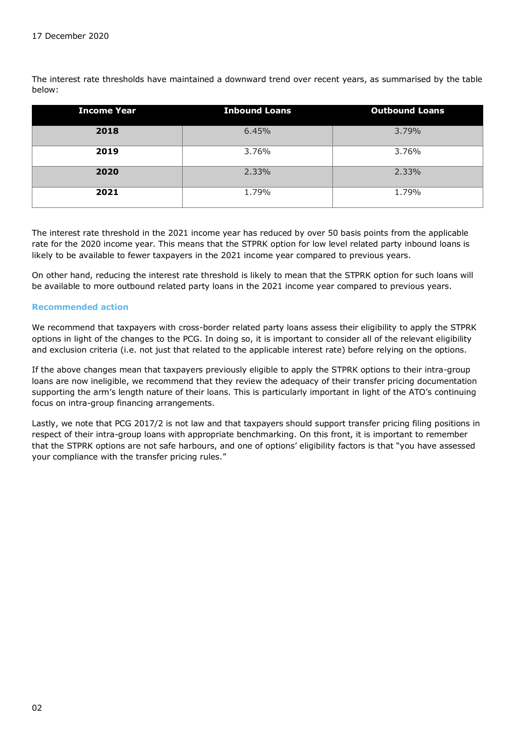The interest rate thresholds have maintained a downward trend over recent years, as summarised by the table below:

| <b>Income Year</b> | <b>Inbound Loans</b> | <b>Outbound Loans</b> |
|--------------------|----------------------|-----------------------|
| 2018               | 6.45%                | 3.79%                 |
| 2019               | 3.76%                | 3.76%                 |
| 2020               | 2.33%                | 2.33%                 |
| 2021               | 1.79%                | 1.79%                 |

The interest rate threshold in the 2021 income year has reduced by over 50 basis points from the applicable rate for the 2020 income year. This means that the STPRK option for low level related party inbound loans is likely to be available to fewer taxpayers in the 2021 income year compared to previous years.

On other hand, reducing the interest rate threshold is likely to mean that the STPRK option for such loans will be available to more outbound related party loans in the 2021 income year compared to previous years.

## **Recommended action**

We recommend that taxpayers with cross-border related party loans assess their eligibility to apply the STPRK options in light of the changes to the PCG. In doing so, it is important to consider all of the relevant eligibility and exclusion criteria (i.e. not just that related to the applicable interest rate) before relying on the options.

If the above changes mean that taxpayers previously eligible to apply the STPRK options to their intra-group loans are now ineligible, we recommend that they review the adequacy of their transfer pricing documentation supporting the arm's length nature of their loans. This is particularly important in light of the ATO's continuing focus on intra-group financing arrangements.

Lastly, we note that PCG 2017/2 is not law and that taxpayers should support transfer pricing filing positions in respect of their intra-group loans with appropriate benchmarking. On this front, it is important to remember that the STPRK options are not safe harbours, and one of options' eligibility factors is that "you have assessed your compliance with the transfer pricing rules."